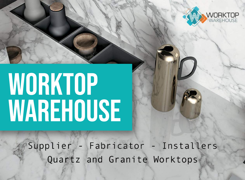

# WORKTOP WAREHOUSE

Supplier - Fabricator - Installers Quartz and Granite Worktops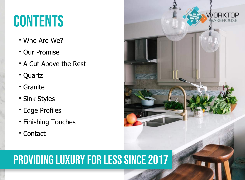## **CONTENTS**

- **·**WhoAreWe?
- **· Our Promise**
- **·** A Cut Above the Rest
- **·**Quartz
- **·**Granite
- **· Sink Styles**
- **·** Edge Profiles
- **· Finishing Touches**
- **·**Contact

### **PROVIDING LUXURY FOR LESS SINCE 2017**

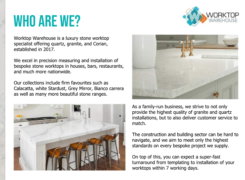## WHO ARE WE?

Worktop Warehouse is a luxury stone worktop specialist offering quartz, granite, and Corian, established in 2017.

We excel in precision measuring and installation of bespoke stone worktops in houses, bars, restaurants, and much more nationwide.

Our collections include firm favourites such as Calacatta, white Stardust, Grey Mirror, Bianco carrera as well as many more beautiful stone ranges.







As a family-run business, we strive to not only provide the highest quality of granite and quartz installations, but to also deliver customer service to match.

The construction and building sector can be hard to navigate, and we aim to meet only the highest standards on every bespoke project we supply.

On top of this, you can expect a super-fast turnaround from templating to installation of your worktops within 7 working days.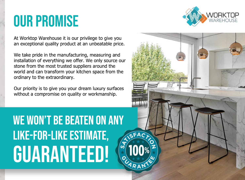## **OUR PROMISE**



At Worktop Warehouse it is our privilege to give you an exceptional quality product at an unbeatable price.

We take pride in the manufacturing, measuring and installation of everything we offer. We only source our stone from the most trusted suppliers around the world and can transform your kitchen space from the ordinary to the extraordinary.

Our priority is to give you your dream luxury surfaces without a compromise on quality or workmanship.

**WE WON'T BE BEATEN ON ANY LIKE-FOR-LIKE ESTIMATE, GUARANTEED!** 

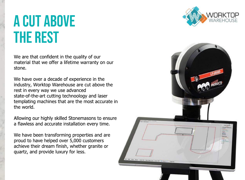## **A CUT ABOVE THE REST**

We are that confident in the quality of our material that we offer a lifetime warranty on our stone.

We have over a decade of experience in the industry, Worktop Warehouse are cut above the rest in every way we use advanced state-of-the-art cutting technoology and laser templating machines that are the most accurate in the world.

Allowing our highly skilled Stonemasons to ensure a flawless and accurate installation every time.

We have been transforming properties and are proud to have helped over 5,000 customers achieve their dream finish, whether granite or quartz, and provide luxury for less.



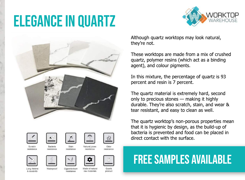## **ELEGANCE IN QUARTZ**







Scratch

resistance









Stain resistance Natural juices Odor resistance

resistance



Long lifetim & durability





Cigarette-bun resistance

Made of natura raw materials

product

Quartz





direct contact with the surface.

### **FREE SAMPLES AVAILABLE**

Although quartz worktops may look natural, they're not.

These worktops are made from a mix of crushed quartz, polymer resins (which act as a binding agent), and colour pigments.

In this mixture, the percentage of quartz is 93 percent and resin is 7 percent.

The quartz material is extremely hard, second only to precious stones - making it highly durable. They're also scratch, stain, and wear & tear resistant, and easy to clean as well.

The quartz worktop's non-porous properties mean that it is hygienic by design, as the build-up of bacteria is prevented and food can be placed in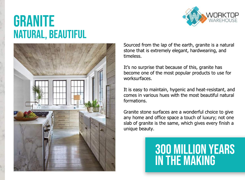## **GRANITE NATURAL, BEAUTIFUL**





Sourced from the lap of the earth, granite is a natural stone that is extremely elegant, hardwearing, and timeless.

It's no surprise that because of this, granite has become one of the most popular products to use for worksurfaces.

It is easy to maintain, hygenic and heat-resistant, and comes in various hues with the most beautiful natural formations.

Granite stone surfaces are a wonderful choice to give any home and office space a touch of luxury; not one slab of granite is the same, which gives every finish a unique beauty.

### **300 MILLION YEARS IN THE MAKING**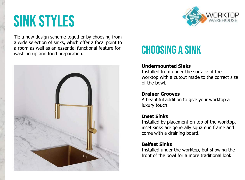## **SINK STYLES**



Tie a new design scheme together by choosing from a wide selection of sinks, which offer a focal point to a room as well as an essential functional feature for washing up and food preparation.



### **CHOOSING A SINK**

#### **Undermounted Sinks**

Installed from under the surface of the worktop with a cutout made to the correct size of the bowl.

#### **Drainer Grooves**

A beautiful addition to give your worktop a luxury touch.

#### **Inset Sinks**

Installed by placement on top of the worktop, inset sinks are generally square in frame and come with a draining board.

#### **Belfast Sinks**

Installed under the worktop, but showing the front of the bowl for a more traditional look.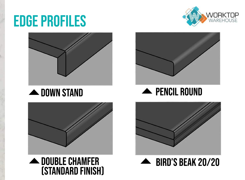## **EDGE PROFILES**



#### **A** DOWN STAND













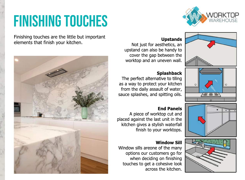## **FINISHING TOUCHES**

Finishing touches are the little but important elements that finish your kitchen.





#### **Upstands**

Not just for aesthetics, an upstand can also be handy to cover the gap between the worktop and an uneven wall.



#### **Splashback**

The perfect alternative to tiling as a way to protect your kitchen from the daily assault of water, sauce splashes, and spitting oils.

#### **End Panels**

A piece of worktop cut and placed against the last unit in the kitchen gives a stylish waterfall finish to your worktops.

#### **Window Sill**

Window sills areone of the many options our customers go for when deciding on finishing touches to get a cohesive look across the kitchen.





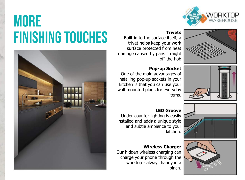## **MORE FINISHING TOUCHES** Built in to the surface itself, a



Built in to the surface itself, a trivet helps keep your work surface protected from heat damage caused by pans straight off the hob



#### **Pop-up Socket**

One of the main advantages of installing pop-up sockets in your kitchen is that you can use your wall-mounted plugs for everyday items.





#### **LED Groove**

Under-counter lighting is easily installed and adds a unique style and subtle ambience to your kitchen.

#### **Wireless Charger**

Our hidden wireless charging can charge your phone through the worktop - always handy in a pinch.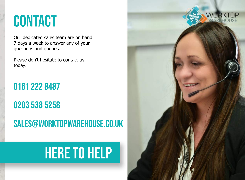## **CONTACT**

Our dedicated sales team are on hand 7 days a week to answer any of your questions and queries.

Please don't hesitate to contact us today.

0161 222 8487

0203 538 5258 SALES@WORKTOPWAREHOUSE.CO.UK

## **HERE TO HELP**